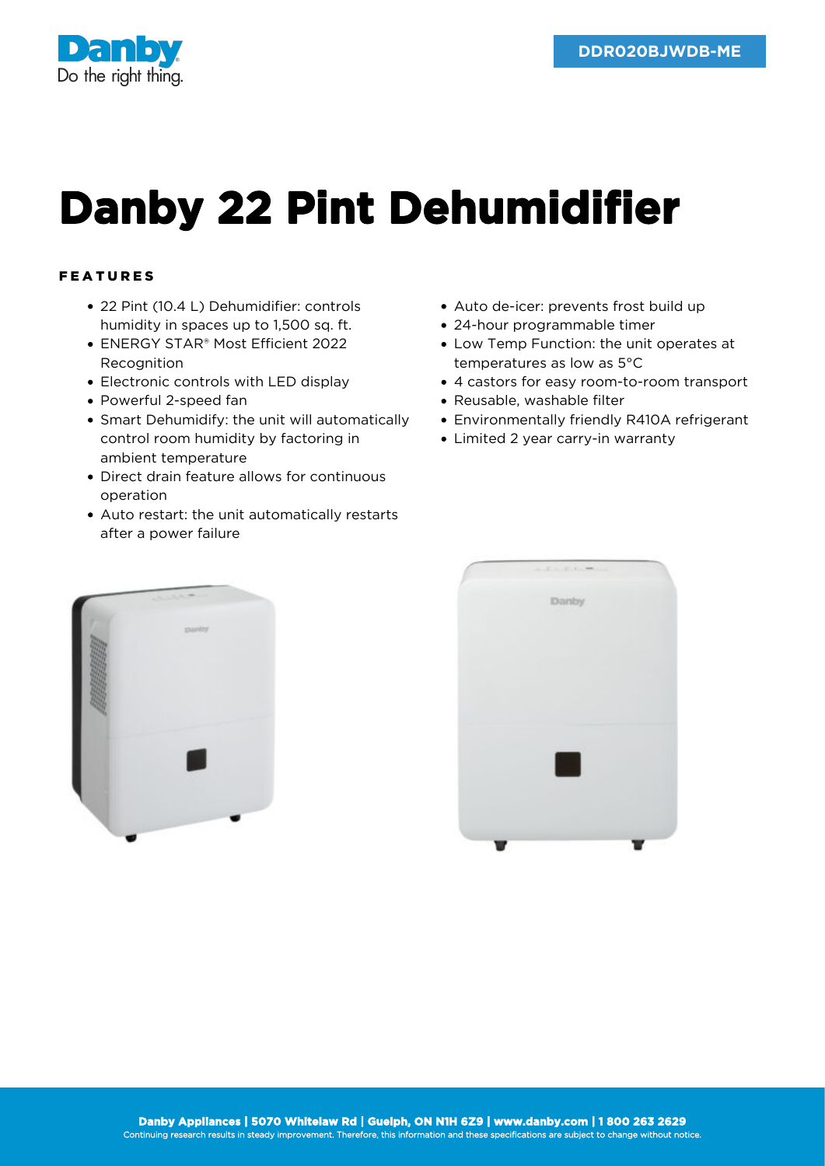

## **Danby 22 Pint Dehumidifier**

## FEATURES

- 22 Pint (10.4 L) Dehumidifier: controls humidity in spaces up to 1,500 sq. ft.
- ENERGY STAR® Most Efficient 2022 **Recognition**
- Electronic controls with LED display
- Powerful 2-speed fan
- Smart Dehumidify: the unit will automatically control room humidity by factoring in ambient temperature
- Direct drain feature allows for continuous operation
- Auto restart: the unit automatically restarts after a power failure
- Auto de-icer: prevents frost build up
- 24-hour programmable timer
- Low Temp Function: the unit operates at temperatures as low as 5°C
- 4 castors for easy room-to-room transport
- Reusable, washable filter
- Environmentally friendly R410A refrigerant
- Limited 2 year carry-in warranty